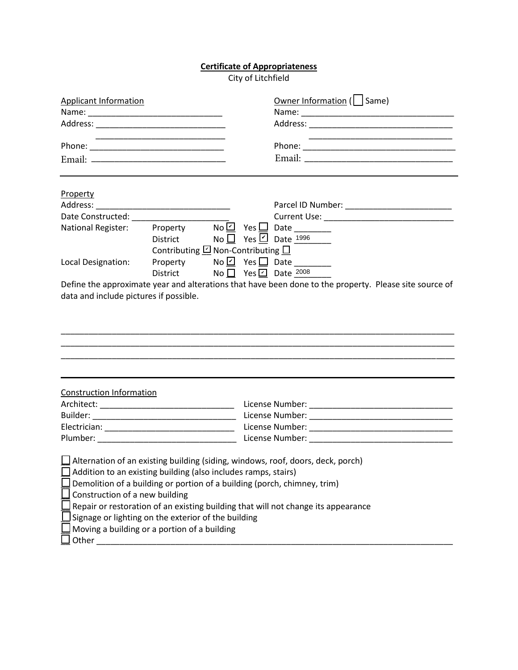## **Certificate of Appropriateness**

City of Litchfield

| <b>Applicant Information</b>                                                     |                                                                     | Owner Information ( Same)                                                                              |
|----------------------------------------------------------------------------------|---------------------------------------------------------------------|--------------------------------------------------------------------------------------------------------|
|                                                                                  |                                                                     |                                                                                                        |
|                                                                                  |                                                                     |                                                                                                        |
|                                                                                  |                                                                     |                                                                                                        |
|                                                                                  |                                                                     |                                                                                                        |
| Property                                                                         |                                                                     |                                                                                                        |
|                                                                                  |                                                                     |                                                                                                        |
|                                                                                  |                                                                     |                                                                                                        |
| National Register: Property NoΩ Yes <sub>Notion</sub> Date <sub>100</sub>        | Contributing $\underline{\Box}$ Non-Contributing $\underline{\Box}$ | District No No Yes Ø Date 1996                                                                         |
| Local Designation:                                                               | District $\blacksquare$ No $\square$ Yes $\square$ Date 2008        |                                                                                                        |
| data and include pictures if possible.                                           |                                                                     | Define the approximate year and alterations that have been done to the property. Please site source of |
|                                                                                  |                                                                     |                                                                                                        |
| <b>Construction Information</b><br>Architect: __________________________________ |                                                                     |                                                                                                        |
|                                                                                  |                                                                     |                                                                                                        |
|                                                                                  |                                                                     |                                                                                                        |
|                                                                                  |                                                                     |                                                                                                        |
|                                                                                  |                                                                     |                                                                                                        |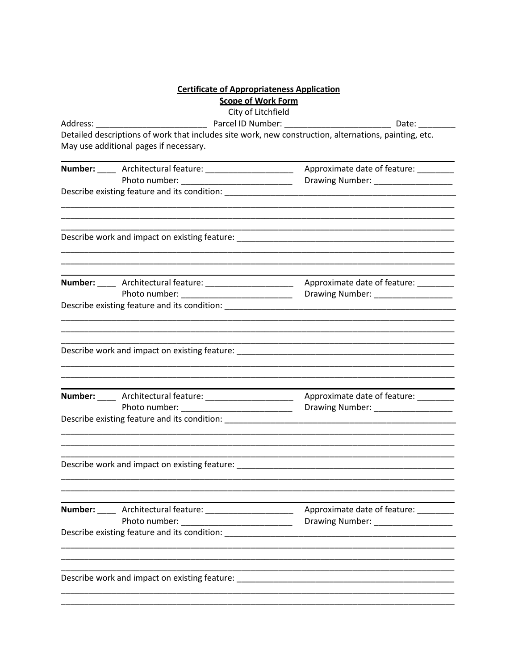| <b>Certificate of Appropriateness Application</b>                                                                                                                                                                              |                                                                                                                                                                                                                                                                                                                    |  |  |  |
|--------------------------------------------------------------------------------------------------------------------------------------------------------------------------------------------------------------------------------|--------------------------------------------------------------------------------------------------------------------------------------------------------------------------------------------------------------------------------------------------------------------------------------------------------------------|--|--|--|
| <b>Scope of Work Form</b>                                                                                                                                                                                                      |                                                                                                                                                                                                                                                                                                                    |  |  |  |
|                                                                                                                                                                                                                                |                                                                                                                                                                                                                                                                                                                    |  |  |  |
| Detailed descriptions of work that includes site work, new construction, alternations, painting, etc.                                                                                                                          |                                                                                                                                                                                                                                                                                                                    |  |  |  |
| May use additional pages if necessary.                                                                                                                                                                                         |                                                                                                                                                                                                                                                                                                                    |  |  |  |
| Number: _____ Architectural feature: ______________________ Approximate date of feature: ________                                                                                                                              |                                                                                                                                                                                                                                                                                                                    |  |  |  |
|                                                                                                                                                                                                                                |                                                                                                                                                                                                                                                                                                                    |  |  |  |
|                                                                                                                                                                                                                                |                                                                                                                                                                                                                                                                                                                    |  |  |  |
|                                                                                                                                                                                                                                |                                                                                                                                                                                                                                                                                                                    |  |  |  |
|                                                                                                                                                                                                                                |                                                                                                                                                                                                                                                                                                                    |  |  |  |
| Number: _____ Architectural feature: ______________________ Approximate date of feature: ________                                                                                                                              |                                                                                                                                                                                                                                                                                                                    |  |  |  |
|                                                                                                                                                                                                                                | Drawing Number: ____________________                                                                                                                                                                                                                                                                               |  |  |  |
|                                                                                                                                                                                                                                |                                                                                                                                                                                                                                                                                                                    |  |  |  |
|                                                                                                                                                                                                                                |                                                                                                                                                                                                                                                                                                                    |  |  |  |
|                                                                                                                                                                                                                                |                                                                                                                                                                                                                                                                                                                    |  |  |  |
|                                                                                                                                                                                                                                | Drawing Number: _________________                                                                                                                                                                                                                                                                                  |  |  |  |
| Describe existing feature and its condition: ___________________________________                                                                                                                                               |                                                                                                                                                                                                                                                                                                                    |  |  |  |
| Describe work and impact on existing feature: _________                                                                                                                                                                        |                                                                                                                                                                                                                                                                                                                    |  |  |  |
| Number: _____ Architectural feature: _____________________                                                                                                                                                                     | Approximate date of feature:                                                                                                                                                                                                                                                                                       |  |  |  |
|                                                                                                                                                                                                                                | Drawing Number: _________________                                                                                                                                                                                                                                                                                  |  |  |  |
|                                                                                                                                                                                                                                |                                                                                                                                                                                                                                                                                                                    |  |  |  |
| Describe work and impact on existing feature: Description of the control of the control of the control of the control of the control of the control of the control of the control of the control of the control of the control |                                                                                                                                                                                                                                                                                                                    |  |  |  |
|                                                                                                                                                                                                                                | City of Litchfield<br>Describe existing feature and its condition: ___________________________________<br>Number: _____ Architectural feature: ______________________ Approximate date of feature: ________<br>Describe existing feature and its condition: Description of the existing feature and its condition. |  |  |  |